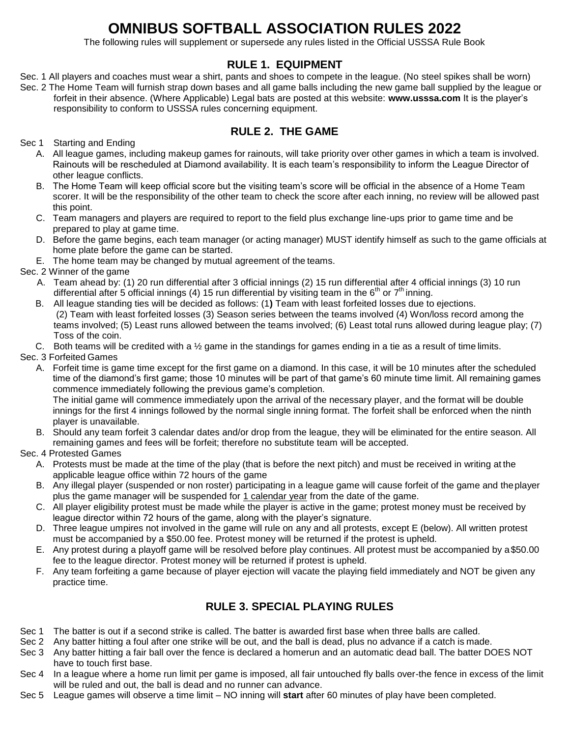# **OMNIBUS SOFTBALL ASSOCIATION RULES 2022**

The following rules will supplement or supersede any rules listed in the Official USSSA Rule Book

## **RULE 1. EQUIPMENT**

- Sec. 1 All players and coaches must wear a shirt, pants and shoes to compete in the league. (No steel spikes shall be worn)
- Sec. 2 The Home Team will furnish strap down bases and all game balls including the new game ball supplied by the league or forfeit in their absence. (Where Applicable) Legal bats are posted at this website: **[www.usssa.com](http://www.usssa.com/)** It is the player's responsibility to conform to USSSA rules concerning equipment.

## **RULE 2. THE GAME**

Sec 1 Starting and Ending

- A. All league games, including makeup games for rainouts, will take priority over other games in which a team is involved. Rainouts will be rescheduled at Diamond availability. It is each team's responsibility to inform the League Director of other league conflicts.
- B. The Home Team will keep official score but the visiting team's score will be official in the absence of a Home Team scorer. It will be the responsibility of the other team to check the score after each inning, no review will be allowed past this point.
- C. Team managers and players are required to report to the field plus exchange line-ups prior to game time and be prepared to play at game time.
- D. Before the game begins, each team manager (or acting manager) MUST identify himself as such to the game officials at home plate before the game can be started.
- E. The home team may be changed by mutual agreement of the teams.

Sec. 2 Winner of the game

- A. Team ahead by: (1) 20 run differential after 3 official innings (2) 15 run differential after 4 official innings (3) 10 run differential after 5 official innings (4) 15 run differential by visiting team in the 6<sup>th</sup> or 7<sup>th</sup> inning.
- B. All league standing ties will be decided as follows: (1**)** Team with least forfeited losses due to ejections. (2) Team with least forfeited losses (3) Season series between the teams involved (4) Won/loss record among the teams involved; (5) Least runs allowed between the teams involved; (6) Least total runs allowed during league play; (7) Toss of the coin.
- C. Both teams will be credited with a  $\frac{1}{2}$  game in the standings for games ending in a tie as a result of time limits.

Sec. 3 Forfeited Games

A. Forfeit time is game time except for the first game on a diamond. In this case, it will be 10 minutes after the scheduled time of the diamond's first game; those 10 minutes will be part of that game's 60 minute time limit. All remaining games commence immediately following the previous game's completion. The initial game will commence immediately upon the arrival of the necessary player, and the format will be double innings for the first 4 innings followed by the normal single inning format. The forfeit shall be enforced when the ninth

player is unavailable.

B. Should any team forfeit 3 calendar dates and/or drop from the league, they will be eliminated for the entire season. All remaining games and fees will be forfeit; therefore no substitute team will be accepted.

Sec. 4 Protested Games

- A. Protests must be made at the time of the play (that is before the next pitch) and must be received in writing at the applicable league office within 72 hours of the game
- B. Any illegal player (suspended or non roster) participating in a league game will cause forfeit of the game and theplayer plus the game manager will be suspended for 1 calendar year from the date of the game.
- C. All player eligibility protest must be made while the player is active in the game; protest money must be received by league director within 72 hours of the game, along with the player's signature.
- D. Three league umpires not involved in the game will rule on any and all protests, except E (below). All written protest must be accompanied by a \$50.00 fee. Protest money will be returned if the protest is upheld.
- E. Any protest during a playoff game will be resolved before play continues. All protest must be accompanied by a\$50.00 fee to the league director. Protest money will be returned if protest is upheld.
- F. Any team forfeiting a game because of player ejection will vacate the playing field immediately and NOT be given any practice time.

## **RULE 3. SPECIAL PLAYING RULES**

- Sec 1 The batter is out if a second strike is called. The batter is awarded first base when three balls are called.
- Sec 2 Any batter hitting a foul after one strike will be out, and the ball is dead, plus no advance if a catch is made.
- Sec 3 Any batter hitting a fair ball over the fence is declared a homerun and an automatic dead ball. The batter DOES NOT have to touch first base.
- Sec 4 In a league where a home run limit per game is imposed, all fair untouched fly balls over-the fence in excess of the limit will be ruled and out, the ball is dead and no runner can advance.
- Sec 5 League games will observe a time limit NO inning will **start** after 60 minutes of play have been completed.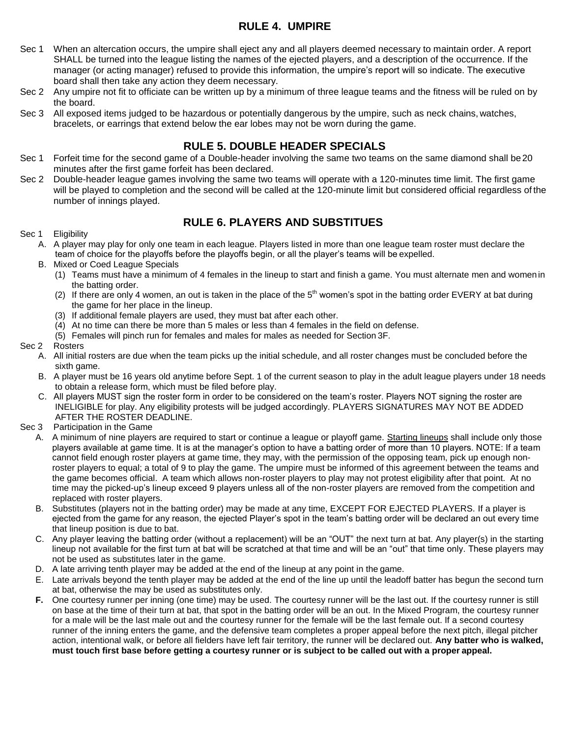## **RULE 4. UMPIRE**

- Sec 1 When an altercation occurs, the umpire shall eject any and all players deemed necessary to maintain order. A report SHALL be turned into the league listing the names of the ejected players, and a description of the occurrence. If the manager (or acting manager) refused to provide this information, the umpire's report will so indicate. The executive board shall then take any action they deem necessary.
- Sec 2 Any umpire not fit to officiate can be written up by a minimum of three league teams and the fitness will be ruled on by the board.
- Sec 3 All exposed items judged to be hazardous or potentially dangerous by the umpire, such as neck chains, watches, bracelets, or earrings that extend below the ear lobes may not be worn during the game.

## **RULE 5. DOUBLE HEADER SPECIALS**

- Sec 1 Forfeit time for the second game of a Double-header involving the same two teams on the same diamond shall be20 minutes after the first game forfeit has been declared.
- Sec 2 Double-header league games involving the same two teams will operate with a 120-minutes time limit. The first game will be played to completion and the second will be called at the 120-minute limit but considered official regardless of the number of innings played.

#### **RULE 6. PLAYERS AND SUBSTITUES**

#### Sec 1 Eligibility

- A. A player may play for only one team in each league. Players listed in more than one league team roster must declare the team of choice for the playoffs before the playoffs begin, or all the player's teams will be expelled.
- B. Mixed or Coed League Specials
	- (1) Teams must have a minimum of 4 females in the lineup to start and finish a game. You must alternate men and women in the batting order.
	- (2) If there are only 4 women, an out is taken in the place of the  $5<sup>th</sup>$  women's spot in the batting order EVERY at bat during the game for her place in the lineup.
	- (3) If additional female players are used, they must bat after each other.
	- (4) At no time can there be more than 5 males or less than 4 females in the field on defense.
	- (5) Females will pinch run for females and males for males as needed for Section 3F.

#### Sec 2 Rosters

- A. All initial rosters are due when the team picks up the initial schedule, and all roster changes must be concluded before the sixth game.
- B. A player must be 16 years old anytime before Sept. 1 of the current season to play in the adult league players under 18 needs to obtain a release form, which must be filed before play.
- C. All players MUST sign the roster form in order to be considered on the team's roster. Players NOT signing the roster are INELIGIBLE for play. Any eligibility protests will be judged accordingly. PLAYERS SIGNATURES MAY NOT BE ADDED AFTER THE ROSTER DEADLINE.
- Sec 3 Participation in the Game
	- A. A minimum of nine players are required to start or continue a league or playoff game. Starting lineups shall include only those players available at game time. It is at the manager's option to have a batting order of more than 10 players. NOTE: If a team cannot field enough roster players at game time, they may, with the permission of the opposing team, pick up enough nonroster players to equal; a total of 9 to play the game. The umpire must be informed of this agreement between the teams and the game becomes official. A team which allows non-roster players to play may not protest eligibility after that point. At no time may the picked-up's lineup exceed 9 players unless all of the non-roster players are removed from the competition and replaced with roster players.
	- B. Substitutes (players not in the batting order) may be made at any time, EXCEPT FOR EJECTED PLAYERS. If a player is ejected from the game for any reason, the ejected Player's spot in the team's batting order will be declared an out every time that lineup position is due to bat.
	- C. Any player leaving the batting order (without a replacement) will be an "OUT" the next turn at bat. Any player(s) in the starting lineup not available for the first turn at bat will be scratched at that time and will be an "out" that time only. These players may not be used as substitutes later in the game.
	- D. A late arriving tenth player may be added at the end of the lineup at any point in the game.
	- E. Late arrivals beyond the tenth player may be added at the end of the line up until the leadoff batter has begun the second turn at bat, otherwise the may be used as substitutes only.
	- **F.** One courtesy runner per inning (one time) may be used. The courtesy runner will be the last out. If the courtesy runner is still on base at the time of their turn at bat, that spot in the batting order will be an out. In the Mixed Program, the courtesy runner for a male will be the last male out and the courtesy runner for the female will be the last female out. If a second courtesy runner of the inning enters the game, and the defensive team completes a proper appeal before the next pitch, illegal pitcher action, intentional walk, or before all fielders have left fair territory, the runner will be declared out. **Any batter who is walked, must touch first base before getting a courtesy runner or is subject to be called out with a proper appeal.**